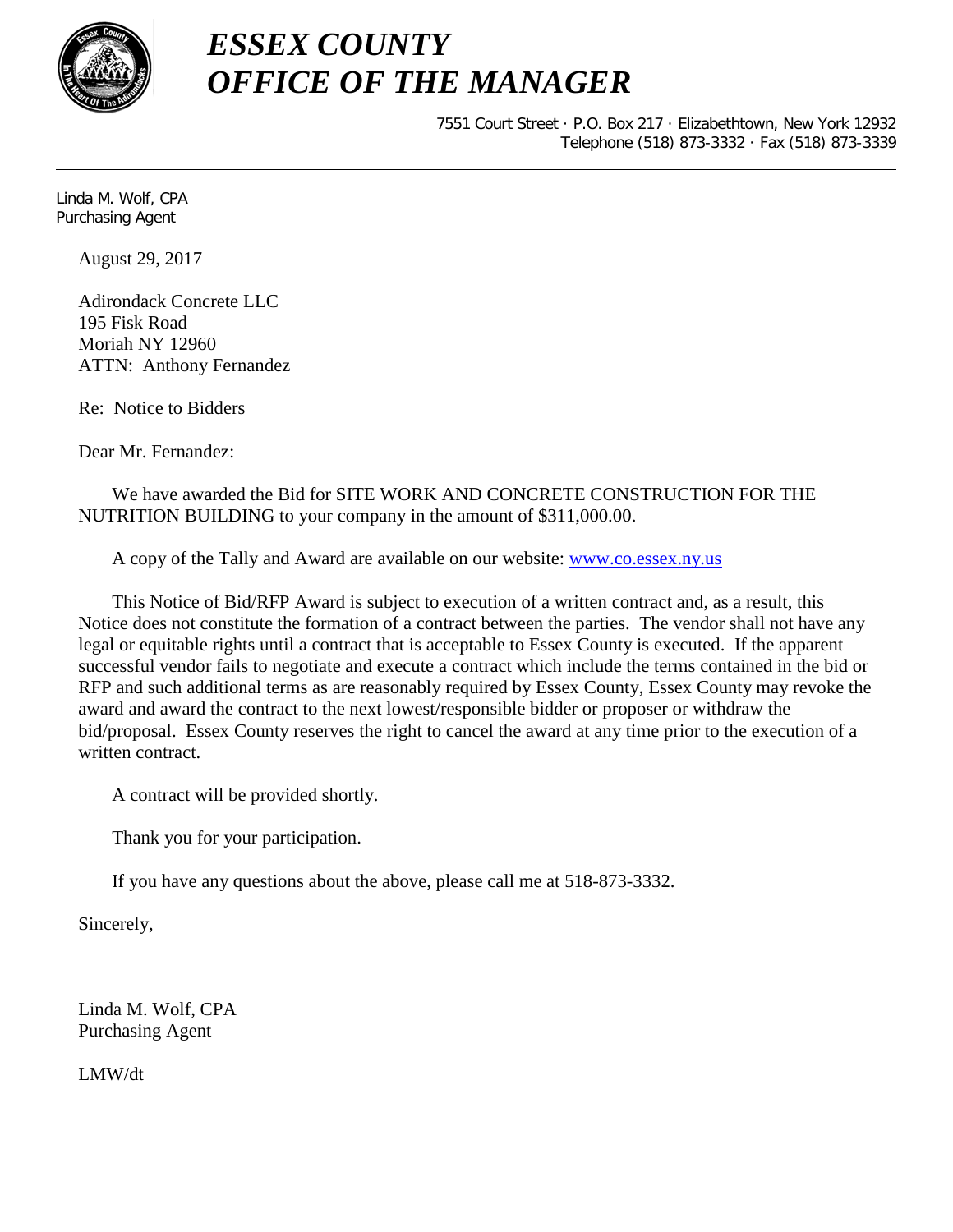

7551 Court Street · P.O. Box 217 · Elizabethtown, New York 12932 Telephone (518) 873-3332 · Fax (518) 873-3339

Linda M. Wolf, CPA Purchasing Agent

August 29, 2017

Adirondack Concrete LLC 195 Fisk Road Moriah NY 12960 ATTN: Anthony Fernandez

Re: Notice to Bidders

Dear Mr. Fernandez:

We have awarded the Bid for SITE WORK AND CONCRETE CONSTRUCTION FOR THE NUTRITION BUILDING to your company in the amount of \$311,000.00.

A copy of the Tally and Award are available on our website: [www.co.essex.ny.us](http://www.co.essex.ny.us/)

This Notice of Bid/RFP Award is subject to execution of a written contract and, as a result, this Notice does not constitute the formation of a contract between the parties. The vendor shall not have any legal or equitable rights until a contract that is acceptable to Essex County is executed. If the apparent successful vendor fails to negotiate and execute a contract which include the terms contained in the bid or RFP and such additional terms as are reasonably required by Essex County, Essex County may revoke the award and award the contract to the next lowest/responsible bidder or proposer or withdraw the bid/proposal. Essex County reserves the right to cancel the award at any time prior to the execution of a written contract.

A contract will be provided shortly.

Thank you for your participation.

If you have any questions about the above, please call me at 518-873-3332.

Sincerely,

Linda M. Wolf, CPA Purchasing Agent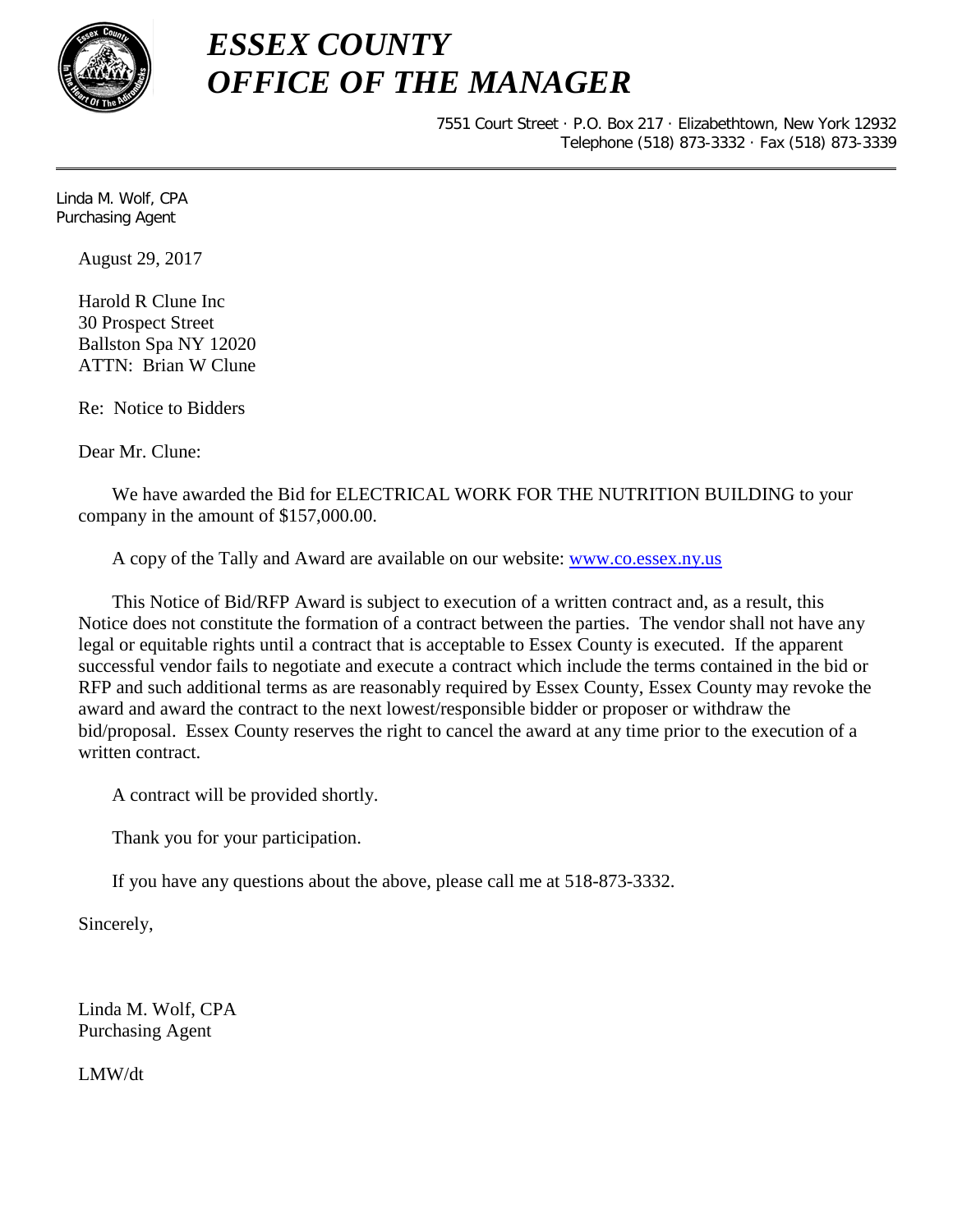

7551 Court Street · P.O. Box 217 · Elizabethtown, New York 12932 Telephone (518) 873-3332 · Fax (518) 873-3339

Linda M. Wolf, CPA Purchasing Agent

August 29, 2017

Harold R Clune Inc 30 Prospect Street Ballston Spa NY 12020 ATTN: Brian W Clune

Re: Notice to Bidders

Dear Mr. Clune:

We have awarded the Bid for ELECTRICAL WORK FOR THE NUTRITION BUILDING to your company in the amount of \$157,000.00.

A copy of the Tally and Award are available on our website: [www.co.essex.ny.us](http://www.co.essex.ny.us/)

This Notice of Bid/RFP Award is subject to execution of a written contract and, as a result, this Notice does not constitute the formation of a contract between the parties. The vendor shall not have any legal or equitable rights until a contract that is acceptable to Essex County is executed. If the apparent successful vendor fails to negotiate and execute a contract which include the terms contained in the bid or RFP and such additional terms as are reasonably required by Essex County, Essex County may revoke the award and award the contract to the next lowest/responsible bidder or proposer or withdraw the bid/proposal. Essex County reserves the right to cancel the award at any time prior to the execution of a written contract.

A contract will be provided shortly.

Thank you for your participation.

If you have any questions about the above, please call me at 518-873-3332.

Sincerely,

Linda M. Wolf, CPA Purchasing Agent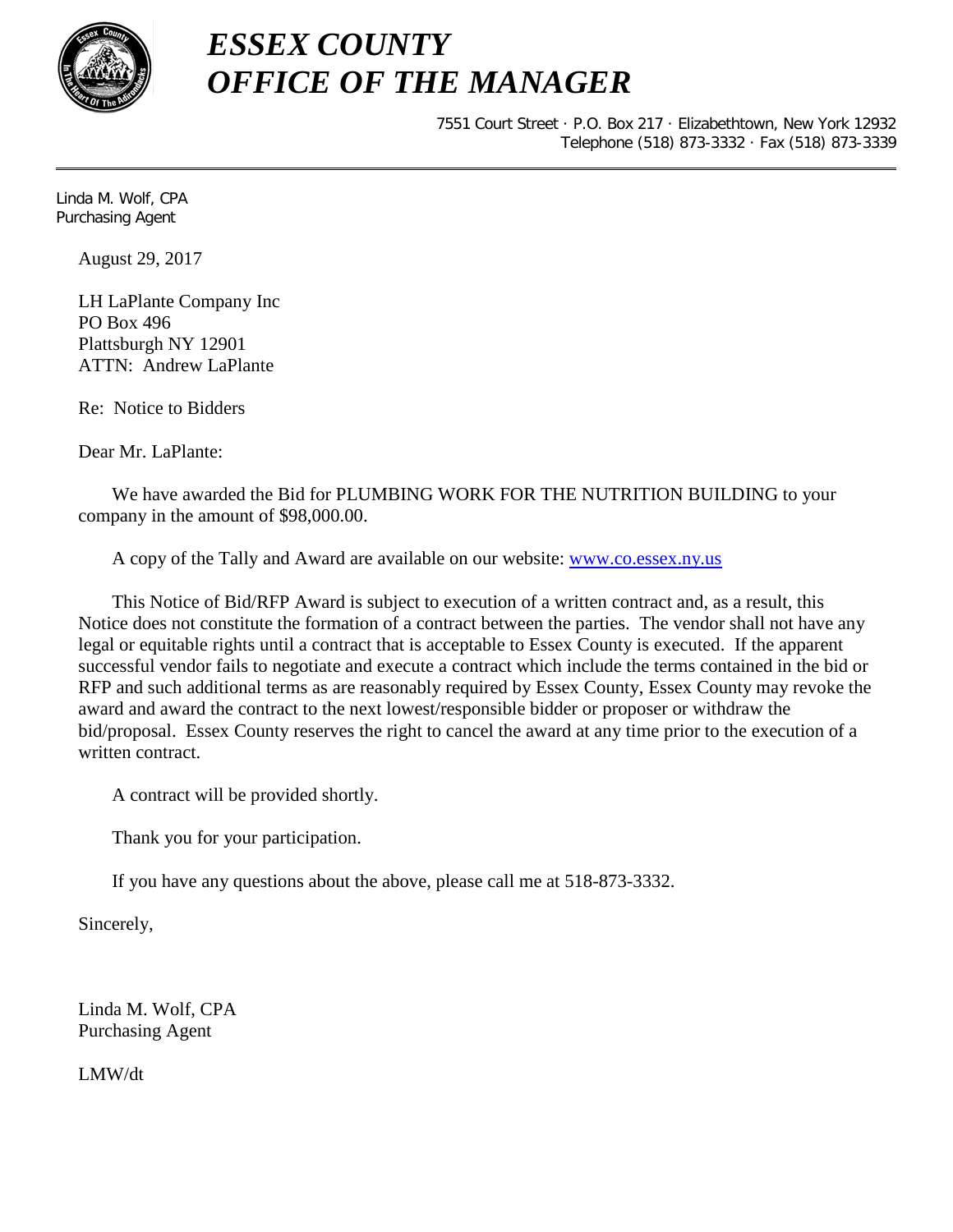

7551 Court Street · P.O. Box 217 · Elizabethtown, New York 12932 Telephone (518) 873-3332 · Fax (518) 873-3339

Linda M. Wolf, CPA Purchasing Agent

August 29, 2017

LH LaPlante Company Inc PO Box 496 Plattsburgh NY 12901 ATTN: Andrew LaPlante

Re: Notice to Bidders

Dear Mr. LaPlante:

We have awarded the Bid for PLUMBING WORK FOR THE NUTRITION BUILDING to your company in the amount of \$98,000.00.

A copy of the Tally and Award are available on our website: [www.co.essex.ny.us](http://www.co.essex.ny.us/)

This Notice of Bid/RFP Award is subject to execution of a written contract and, as a result, this Notice does not constitute the formation of a contract between the parties. The vendor shall not have any legal or equitable rights until a contract that is acceptable to Essex County is executed. If the apparent successful vendor fails to negotiate and execute a contract which include the terms contained in the bid or RFP and such additional terms as are reasonably required by Essex County, Essex County may revoke the award and award the contract to the next lowest/responsible bidder or proposer or withdraw the bid/proposal. Essex County reserves the right to cancel the award at any time prior to the execution of a written contract.

A contract will be provided shortly.

Thank you for your participation.

If you have any questions about the above, please call me at 518-873-3332.

Sincerely,

Linda M. Wolf, CPA Purchasing Agent